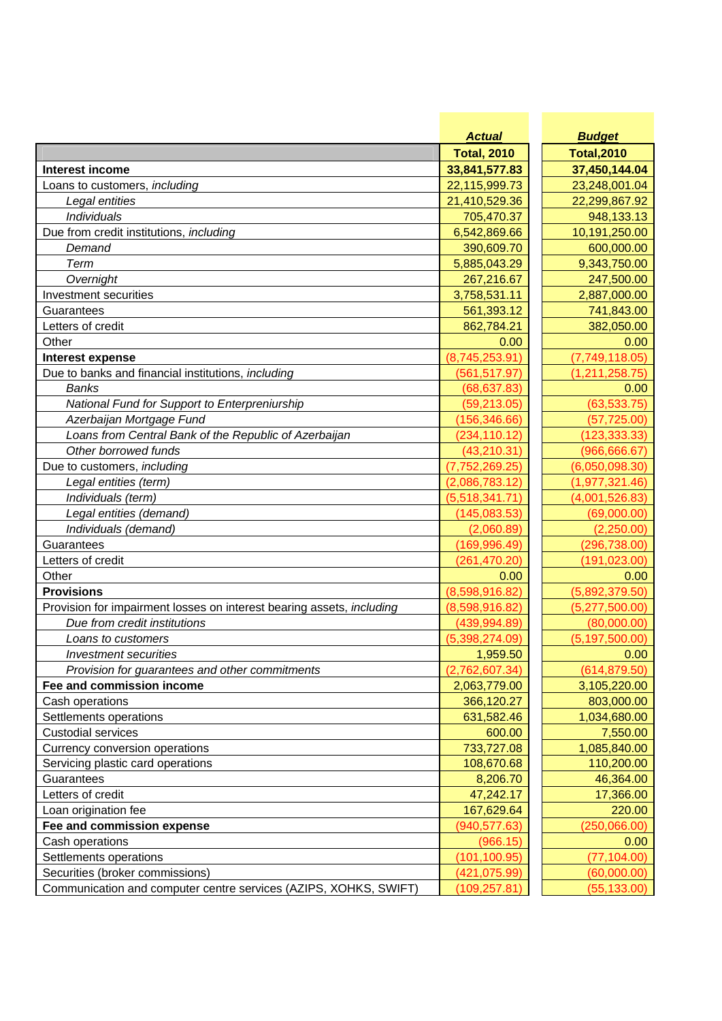|                                                                             | <b>Actual</b>          | <b>Budget</b>          |
|-----------------------------------------------------------------------------|------------------------|------------------------|
|                                                                             | <b>Total, 2010</b>     | <b>Total, 2010</b>     |
| <b>Interest income</b>                                                      | 33,841,577.83          | 37,450,144.04          |
| Loans to customers, including                                               | 22,115,999.73          | 23,248,001.04          |
| Legal entities                                                              | 21,410,529.36          | 22,299,867.92          |
| Individuals                                                                 | 705,470.37             | 948,133.13             |
| Due from credit institutions, including                                     | 6,542,869.66           | 10,191,250.00          |
| Demand                                                                      | 390,609.70             | 600,000.00             |
| Term                                                                        | 5,885,043.29           | 9,343,750.00           |
| Overnight                                                                   | 267,216.67             | 247,500.00             |
| Investment securities                                                       | 3,758,531.11           | 2,887,000.00           |
| Guarantees                                                                  | 561,393.12             | 741,843.00             |
| Letters of credit                                                           | 862,784.21             | 382,050.00             |
| Other                                                                       | 0.00                   | 0.00                   |
| Interest expense                                                            | (8,745,253.91)         | (7,749,118.05)         |
| Due to banks and financial institutions, including                          | (561, 517.97)          | (1,211,258.75)         |
| <b>Banks</b>                                                                | (68, 637.83)           | 0.00                   |
| National Fund for Support to Enterpreniurship                               | (59, 213.05)           | (63, 533.75)           |
| Azerbaijan Mortgage Fund                                                    | (156, 346.66)          | (57, 725.00)           |
| Loans from Central Bank of the Republic of Azerbaijan                       | (234, 110.12)          | (123, 333.33)          |
| Other borrowed funds                                                        | (43, 210.31)           | (966, 666.67)          |
| Due to customers, including                                                 | (7, 752, 269.25)       | (6,050,098.30)         |
| Legal entities (term)                                                       | (2,086,783.12)         | (1, 977, 321.46)       |
| Individuals (term)                                                          | (5,518,341.71)         | (4,001,526.83)         |
| Legal entities (demand)                                                     | (145, 083.53)          | (69,000.00)            |
| Individuals (demand)                                                        | (2,060.89)             | (2,250.00)             |
| Guarantees                                                                  | (169, 996.49)          | (296, 738.00)          |
| Letters of credit                                                           | (261, 470.20)          | (191, 023.00)          |
| Other                                                                       | 0.00                   | 0.00                   |
| <b>Provisions</b>                                                           | (8,598,916.82)         | (5,892,379.50)         |
| Provision for impairment losses on interest bearing assets, including       | (8,598,916.82)         | (5,277,500.00)         |
| Due from credit institutions                                                | (439, 994.89)          | (80,000.00)            |
| Loans to customers                                                          | (5,398,274.09)         | (5, 197, 500.00)       |
| Investment securities                                                       | 1,959.50               | 0.00                   |
|                                                                             | (2,762,607.34)         | (614, 879.50)          |
| Provision for guarantees and other commitments<br>Fee and commission income | 2,063,779.00           | 3,105,220.00           |
| Cash operations                                                             | 366,120.27             | 803,000.00             |
|                                                                             |                        |                        |
| Settlements operations<br><b>Custodial services</b>                         | 631,582.46<br>600.00   | 1,034,680.00           |
|                                                                             |                        | 7,550.00               |
| Currency conversion operations                                              | 733,727.08             | 1,085,840.00           |
| Servicing plastic card operations                                           | 108,670.68<br>8,206.70 | 110,200.00             |
| Guarantees<br>Letters of credit                                             | 47,242.17              | 46,364.00<br>17,366.00 |
|                                                                             |                        | 220.00                 |
| Loan origination fee                                                        | 167,629.64             |                        |
| Fee and commission expense                                                  | (940, 577.63)          | (250,066.00)           |
| Cash operations                                                             | (966.15)               | 0.00                   |
| Settlements operations                                                      | (101, 100.95)          | (77, 104.00)           |
| Securities (broker commissions)                                             | (421, 075.99)          | (60,000.00)            |
| Communication and computer centre services (AZIPS, XOHKS, SWIFT)            | (109, 257.81)          | (55, 133.00)           |